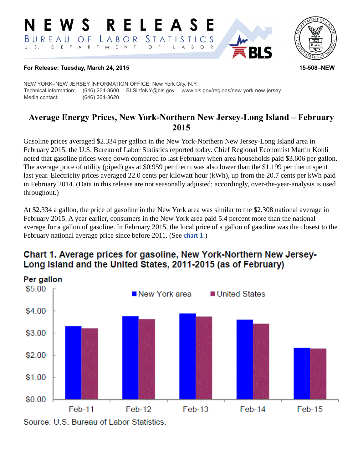#### RELEASE E W S *STATISTICS* BUREAU LABOR O F D E P A R T M E N  $T$  $\circ$ B  $\circ$



### **For Release: Tuesday, March 24, 2015 15-508–NEW**

NEW YORK–NEW JERSEY INFORMATION OFFICE: New York City, N.Y. Technical information: (646) 264-3600 BLSinfoNY@bls.gov www.bls.gov/regions/new-york-new-jersey Media contact: (646) 264-3620

## **Average Energy Prices, New York-Northern New Jersey-Long Island – February 2015**

Gasoline prices averaged \$2.334 per gallon in the New York-Northern New Jersey-Long Island area in February 2015, the U.S. Bureau of Labor Statistics reported today. Chief Regional Economist Martin Kohli noted that gasoline prices were down compared to last February when area households paid \$3.606 per gallon. The average price of utility (piped) gas at \$0.959 per therm was also lower than the \$1.199 per therm spent last year. Electricity prices averaged 22.0 cents per kilowatt hour (kWh), up from the 20.7 cents per kWh paid in February 2014. (Data in this release are not seasonally adjusted; accordingly, over-the-year-analysis is used throughout.)

At \$2.334 a gallon, the price of gasoline in the New York area was similar to the \$2.308 national average in February 2015. A year earlier, consumers in the New York area paid 5.4 percent more than the national average for a gallon of gasoline. In February 2015, the local price of a gallon of gasoline was the closest to the February national average price since before 2011. (See [chart 1.](#page-0-0))

# <span id="page-0-0"></span>Chart 1. Average prices for gasoline, New York-Northern New Jersey-Long Island and the United States, 2011-2015 (as of February)

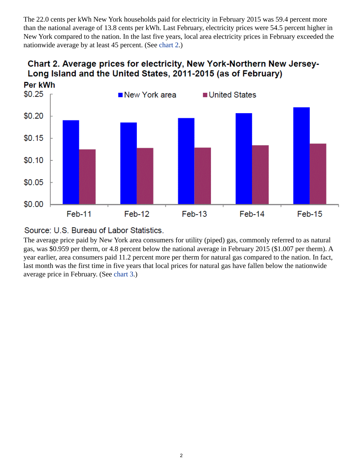The 22.0 cents per kWh New York households paid for electricity in February 2015 was 59.4 percent more than the national average of 13.8 cents per kWh. Last February, electricity prices were 54.5 percent higher in New York compared to the nation. In the last five years, local area electricity prices in February exceeded the nationwide average by at least 45 percent. (See [chart 2](#page-1-0).)



# <span id="page-1-0"></span>Chart 2. Average prices for electricity, New York-Northern New Jersey-Long Island and the United States, 2011-2015 (as of February)

### Source: U.S. Bureau of Labor Statistics.

The average price paid by New York area consumers for utility (piped) gas, commonly referred to as natural gas, was \$0.959 per therm, or 4.8 percent below the national average in February 2015 (\$1.007 per therm). A year earlier, area consumers paid 11.2 percent more per therm for natural gas compared to the nation. In fact, last month was the first time in five years that local prices for natural gas have fallen below the nationwide average price in February. (See [chart 3](#page-2-0).)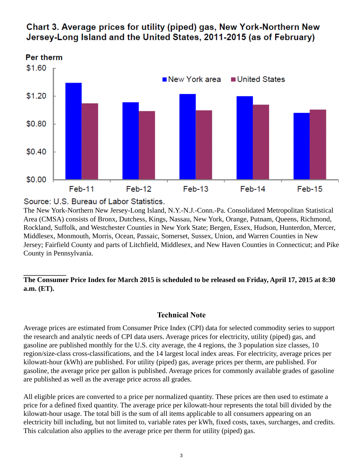

# <span id="page-2-0"></span>Chart 3. Average prices for utility (piped) gas, New York-Northern New Jersey-Long Island and the United States, 2011-2015 (as of February)

Source: U.S. Bureau of Labor Statistics.

The New York-Northern New Jersey-Long Island, N.Y.-N.J.-Conn.-Pa. Consolidated Metropolitan Statistical Area (CMSA) consists of Bronx, Dutchess, Kings, Nassau, New York, Orange, Putnam, Queens, Richmond, Rockland, Suffolk, and Westchester Counties in New York State; Bergen, Essex, Hudson, Hunterdon, Mercer, Middlesex, Monmouth, Morris, Ocean, Passaic, Somerset, Sussex, Union, and Warren Counties in New Jersey; Fairfield County and parts of Litchfield, Middlesex, and New Haven Counties in Connecticut; and Pike County in Pennsylvania.

### **The Consumer Price Index for March 2015 is scheduled to be released on Friday, April 17, 2015 at 8:30 a.m. (ET).**

### **Technical Note**

Average prices are estimated from Consumer Price Index (CPI) data for selected commodity series to support the research and analytic needs of CPI data users. Average prices for electricity, utility (piped) gas, and gasoline are published monthly for the U.S. city average, the 4 regions, the 3 population size classes, 10 region/size-class cross-classifications, and the 14 largest local index areas. For electricity, average prices per kilowatt-hour (kWh) are published. For utility (piped) gas, average prices per therm, are published. For gasoline, the average price per gallon is published. Average prices for commonly available grades of gasoline are published as well as the average price across all grades.

All eligible prices are converted to a price per normalized quantity. These prices are then used to estimate a price for a defined fixed quantity. The average price per kilowatt-hour represents the total bill divided by the kilowatt-hour usage. The total bill is the sum of all items applicable to all consumers appearing on an electricity bill including, but not limited to, variable rates per kWh, fixed costs, taxes, surcharges, and credits. This calculation also applies to the average price per therm for utility (piped) gas.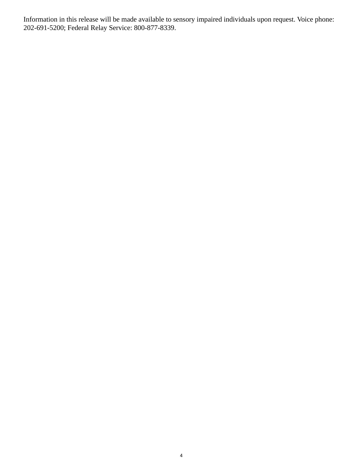Information in this release will be made available to sensory impaired individuals upon request. Voice phone: 202-691-5200; Federal Relay Service: 800-877-8339.